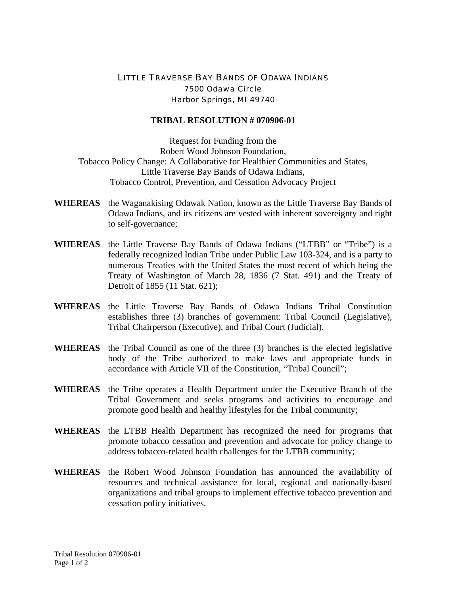## LITTLE TRAVERSE BAY BANDS OF ODAWA INDIANS 7500 Odawa Circle Harbor Springs, MI 49740

## **TRIBAL RESOLUTION # 070906-01**

Request for Funding from the Robert Wood Johnson Foundation, Tobacco Policy Change: A Collaborative for Healthier Communities and States, Little Traverse Bay Bands of Odawa Indians, Tobacco Control, Prevention, and Cessation Advocacy Project

- **WHEREAS** the Waganakising Odawak Nation, known as the Little Traverse Bay Bands of Odawa Indians, and its citizens are vested with inherent sovereignty and right to self-governance;
- **WHEREAS** the Little Traverse Bay Bands of Odawa Indians ("LTBB" or "Tribe") is a federally recognized Indian Tribe under Public Law 103-324, and is a party to numerous Treaties with the United States the most recent of which being the Treaty of Washington of March 28, 1836 (7 Stat. 491) and the Treaty of Detroit of 1855 (11 Stat. 621);
- **WHEREAS** the Little Traverse Bay Bands of Odawa Indians Tribal Constitution establishes three (3) branches of government: Tribal Council (Legislative), Tribal Chairperson (Executive), and Tribal Court (Judicial).
- **WHEREAS** the Tribal Council as one of the three (3) branches is the elected legislative body of the Tribe authorized to make laws and appropriate funds in accordance with Article VII of the Constitution, "Tribal Council";
- **WHEREAS** the Tribe operates a Health Department under the Executive Branch of the Tribal Government and seeks programs and activities to encourage and promote good health and healthy lifestyles for the Tribal community;
- **WHEREAS** the LTBB Health Department has recognized the need for programs that promote tobacco cessation and prevention and advocate for policy change to address tobacco-related health challenges for the LTBB community;
- **WHEREAS** the Robert Wood Johnson Foundation has announced the availability of resources and technical assistance for local, regional and nationally-based organizations and tribal groups to implement effective tobacco prevention and cessation policy initiatives.